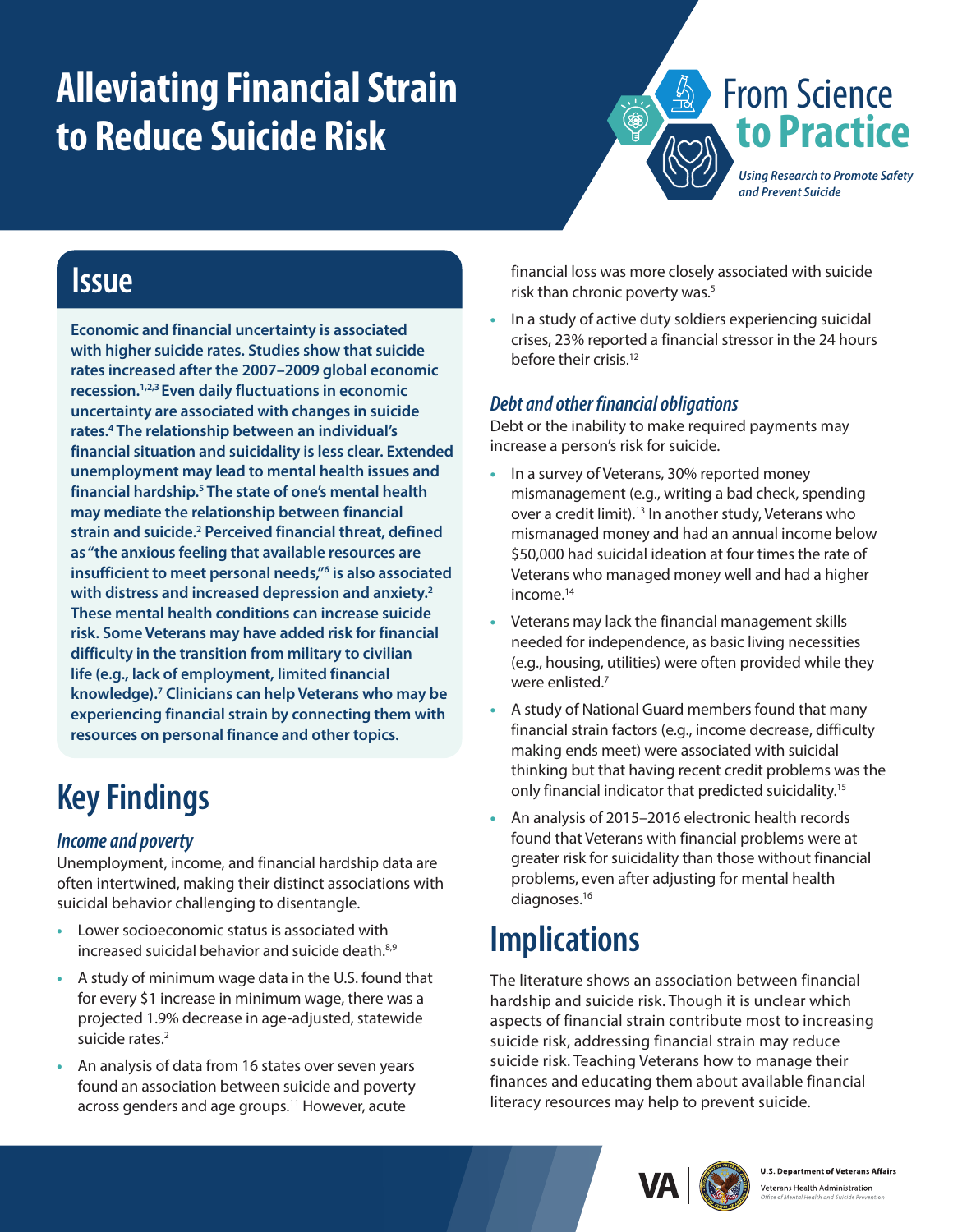# **Alleviating Financial Strain to Reduce Suicide Risk**



### **Issue**

**Economic and financial uncertainty is associated with higher suicide rates. Studies show that suicide rates increased after the 2007–2009 global economic recession.[1](#page-1-0),[2](#page-1-1)[,3](#page-1-2) Even daily fluctuations in economic uncertainty are associated with changes in suicide rates.[4](#page-1-3) The relationship between an individual's financial situation and suicidality is less clear. Extended unemployment may lead to mental health issues and financial hardship.[5](#page-1-4) The state of one's mental health may mediate the relationship between financial strain and suicide[.2](#page-1-1) Perceived financial threat, defined as "the anxious feeling that available resources are insufficient to meet personal needs,["6](#page-1-5) is also associated with distress and increased depression and anxiety[.2](#page-1-1) These mental health conditions can increase suicide risk. Some Veterans may have added risk for financial difficulty in the transition from military to civilian life (e.g., lack of employment, limited financial knowledge)[.7](#page-1-6) Clinicians can help Veterans who may be experiencing financial strain by connecting them with resources on personal finance and other topics.**

# **Key Findings**

### *Income and poverty*

Unemployment, income, and financial hardship data are often intertwined, making their distinct associations with suicidal behavior challenging to disentangle.

- **•** Lower socioeconomic status is associated with increased suicidal behavior and suicide death.<sup>[8,](#page-1-7)[9](#page-1-8)</sup>
- **•** A study of minimum wage data in the U.S. found that for every \$1 increase in minimum wage, there was a projected 1.9% decrease in age-adjusted, statewide suicide rates.<sup>2</sup>
- **•** An analysis of data from 16 states over seven years found an association between suicide and poverty across genders and age groups.<sup>11</sup> However, acute

financial loss was more closely associated with suicide risk than chronic poverty was.<sup>[5](#page-1-4)</sup>

**•** In a study of active duty soldiers experiencing suicidal crises, 23% reported a financial stressor in the 24 hours before their crisis.<sup>12</sup>

#### *Debt and other financial obligations*

Debt or the inability to make required payments may increase a person's risk for suicide.

- **•** In a survey of Veterans, 30% reported money mismanagement (e.g., writing a bad check, spending over a credit limit).<sup>13</sup> In another study, Veterans who mismanaged money and had an annual income below \$50,000 had suicidal ideation at four times the rate of Veterans who managed money well and had a higher income.<sup>[14](#page-1-12)</sup>
- **•** Veterans may lack the financial management skills needed for independence, as basic living necessities (e.g., housing, utilities) were often provided while they were enlisted.<sup>7</sup>
- **•** A study of National Guard members found that many financial strain factors (e.g., income decrease, difficulty making ends meet) were associated with suicidal thinking but that having recent credit problems was the only financial indicator that predicted suicidality.[15](#page-1-13)
- **•** An analysis of 2015–2016 electronic health records found that Veterans with financial problems were at greater risk for suicidality than those without financial problems, even after adjusting for mental health diagnoses.<sup>16</sup>

## **Implications**

The literature shows an association between financial hardship and suicide risk. Though it is unclear which aspects of financial strain contribute most to increasing suicide risk, addressing financial strain may reduce suicide risk. Teaching Veterans how to manage their finances and educating them about available financial literacy resources may help to prevent suicide.